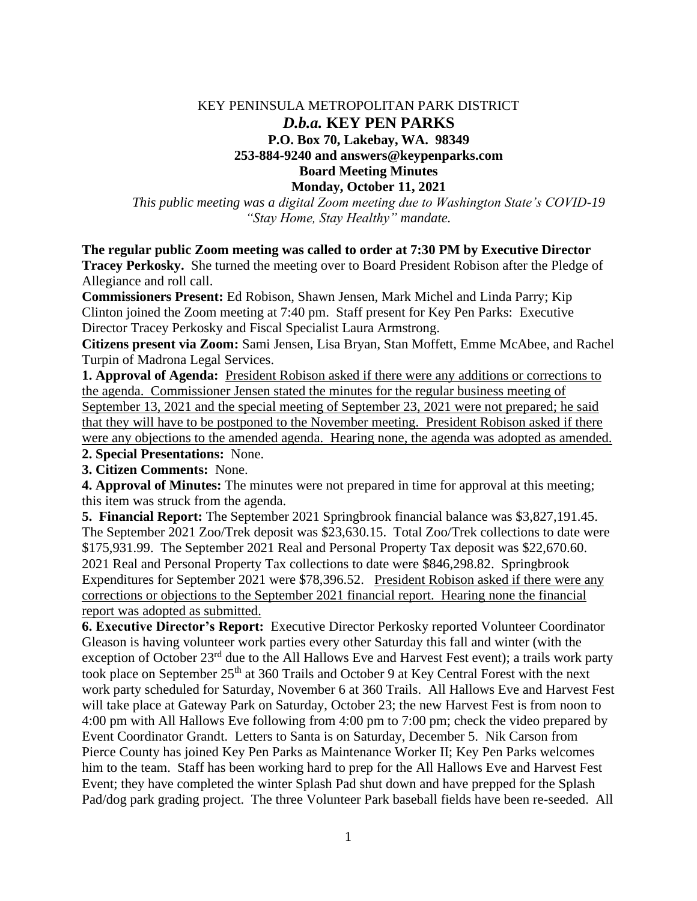### KEY PENINSULA METROPOLITAN PARK DISTRICT *D.b.a.* **KEY PEN PARKS P.O. Box 70, Lakebay, WA. 98349 253-884-9240 and answers@keypenparks.com Board Meeting Minutes Monday, October 11, 2021**

*This public meeting was a digital Zoom meeting due to Washington State's COVID-19 "Stay Home, Stay Healthy" mandate.*

**The regular public Zoom meeting was called to order at 7:30 PM by Executive Director** 

**Tracey Perkosky.** She turned the meeting over to Board President Robison after the Pledge of Allegiance and roll call.

**Commissioners Present:** Ed Robison, Shawn Jensen, Mark Michel and Linda Parry; Kip Clinton joined the Zoom meeting at 7:40 pm. Staff present for Key Pen Parks: Executive Director Tracey Perkosky and Fiscal Specialist Laura Armstrong.

**Citizens present via Zoom:** Sami Jensen, Lisa Bryan, Stan Moffett, Emme McAbee, and Rachel Turpin of Madrona Legal Services.

**1. Approval of Agenda:** President Robison asked if there were any additions or corrections to the agenda. Commissioner Jensen stated the minutes for the regular business meeting of September 13, 2021 and the special meeting of September 23, 2021 were not prepared; he said that they will have to be postponed to the November meeting. President Robison asked if there were any objections to the amended agenda. Hearing none, the agenda was adopted as amended.

**2. Special Presentations:** None.

**3. Citizen Comments:** None.

**4. Approval of Minutes:** The minutes were not prepared in time for approval at this meeting; this item was struck from the agenda.

**5. Financial Report:** The September 2021 Springbrook financial balance was \$3,827,191.45. The September 2021 Zoo/Trek deposit was \$23,630.15. Total Zoo/Trek collections to date were \$175,931.99. The September 2021 Real and Personal Property Tax deposit was \$22,670.60. 2021 Real and Personal Property Tax collections to date were \$846,298.82. Springbrook Expenditures for September 2021 were \$78,396.52. President Robison asked if there were any corrections or objections to the September 2021 financial report. Hearing none the financial report was adopted as submitted.

**6. Executive Director's Report:** Executive Director Perkosky reported Volunteer Coordinator Gleason is having volunteer work parties every other Saturday this fall and winter (with the exception of October 23rd due to the All Hallows Eve and Harvest Fest event); a trails work party took place on September 25<sup>th</sup> at 360 Trails and October 9 at Key Central Forest with the next work party scheduled for Saturday, November 6 at 360 Trails. All Hallows Eve and Harvest Fest will take place at Gateway Park on Saturday, October 23; the new Harvest Fest is from noon to 4:00 pm with All Hallows Eve following from 4:00 pm to 7:00 pm; check the video prepared by Event Coordinator Grandt. Letters to Santa is on Saturday, December 5. Nik Carson from Pierce County has joined Key Pen Parks as Maintenance Worker II; Key Pen Parks welcomes him to the team. Staff has been working hard to prep for the All Hallows Eve and Harvest Fest Event; they have completed the winter Splash Pad shut down and have prepped for the Splash Pad/dog park grading project. The three Volunteer Park baseball fields have been re-seeded. All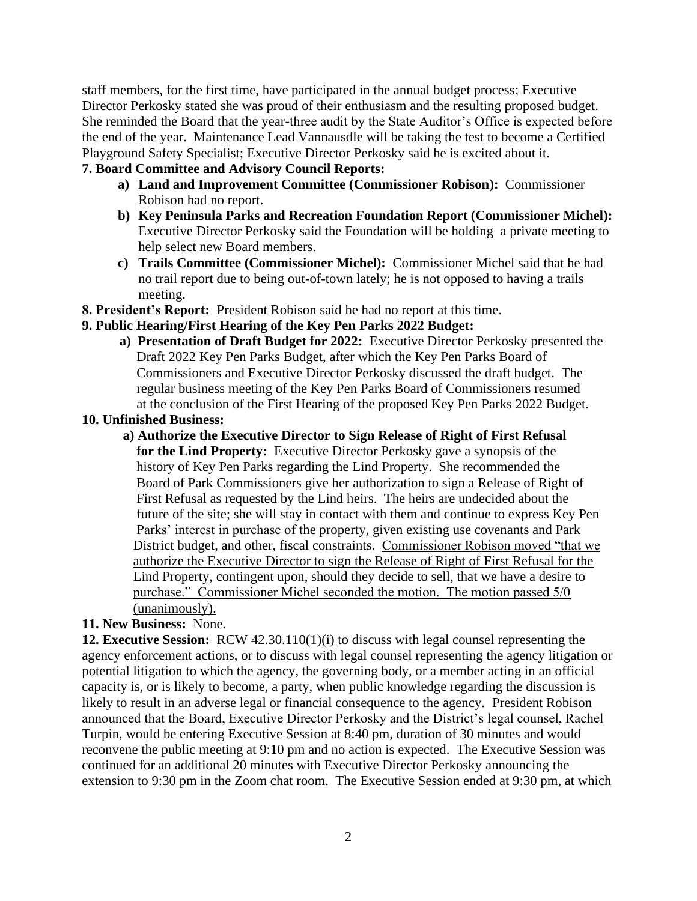staff members, for the first time, have participated in the annual budget process; Executive Director Perkosky stated she was proud of their enthusiasm and the resulting proposed budget. She reminded the Board that the year-three audit by the State Auditor's Office is expected before the end of the year. Maintenance Lead Vannausdle will be taking the test to become a Certified Playground Safety Specialist; Executive Director Perkosky said he is excited about it.

# **7. Board Committee and Advisory Council Reports:**

- **a) Land and Improvement Committee (Commissioner Robison):** Commissioner Robison had no report.
- **b) Key Peninsula Parks and Recreation Foundation Report (Commissioner Michel):** Executive Director Perkosky said the Foundation will be holding a private meeting to help select new Board members.
- **c) Trails Committee (Commissioner Michel):** Commissioner Michel said that he had no trail report due to being out-of-town lately; he is not opposed to having a trails meeting.
- **8. President's Report:** President Robison said he had no report at this time.

#### **9. Public Hearing/First Hearing of the Key Pen Parks 2022 Budget:**

 **a) Presentation of Draft Budget for 2022:** Executive Director Perkosky presented the Draft 2022 Key Pen Parks Budget, after which the Key Pen Parks Board of Commissioners and Executive Director Perkosky discussed the draft budget. The regular business meeting of the Key Pen Parks Board of Commissioners resumed at the conclusion of the First Hearing of the proposed Key Pen Parks 2022 Budget.

## **10. Unfinished Business:**

 **a) Authorize the Executive Director to Sign Release of Right of First Refusal for the Lind Property:** Executive Director Perkosky gave a synopsis of the history of Key Pen Parks regarding the Lind Property. She recommended the Board of Park Commissioners give her authorization to sign a Release of Right of First Refusal as requested by the Lind heirs. The heirs are undecided about the future of the site; she will stay in contact with them and continue to express Key Pen Parks' interest in purchase of the property, given existing use covenants and Park District budget, and other, fiscal constraints. Commissioner Robison moved "that we authorize the Executive Director to sign the Release of Right of First Refusal for the Lind Property, contingent upon, should they decide to sell, that we have a desire to purchase." Commissioner Michel seconded the motion. The motion passed 5/0 (unanimously).

#### **11. New Business:** None.

**12. Executive Session:** RCW 42.30.110(1)(i) to discuss with legal counsel representing the agency enforcement actions, or to discuss with legal counsel representing the agency litigation or potential litigation to which the agency, the governing body, or a member acting in an official capacity is, or is likely to become, a party, when public knowledge regarding the discussion is likely to result in an adverse legal or financial consequence to the agency. President Robison announced that the Board, Executive Director Perkosky and the District's legal counsel, Rachel Turpin, would be entering Executive Session at 8:40 pm, duration of 30 minutes and would reconvene the public meeting at 9:10 pm and no action is expected. The Executive Session was continued for an additional 20 minutes with Executive Director Perkosky announcing the extension to 9:30 pm in the Zoom chat room. The Executive Session ended at 9:30 pm, at which